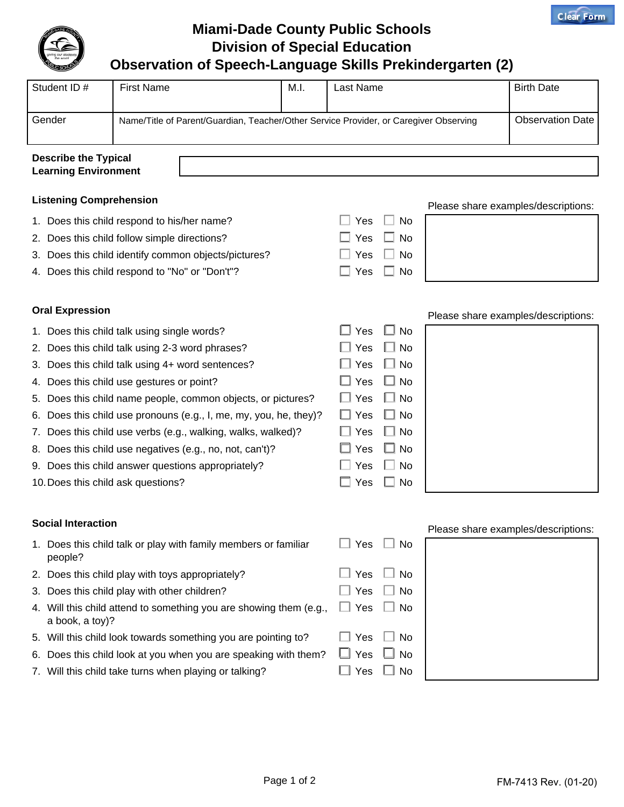

## **Miami-Dade County Public Schools Division of Special Education**

## **Observation of Speech-Language Skills Prekindergarten (2)**

| Student ID#                                                | <b>First Name</b> | M.I.                                                                                                             | Last Name | <b>Birth Date</b> |  |  |  |  |
|------------------------------------------------------------|-------------------|------------------------------------------------------------------------------------------------------------------|-----------|-------------------|--|--|--|--|
| Gender                                                     |                   | <b>Observation Date</b><br>Name/Title of Parent/Guardian, Teacher/Other Service Provider, or Caregiver Observing |           |                   |  |  |  |  |
| <b>Describe the Typical</b><br><b>Learning Environment</b> |                   |                                                                                                                  |           |                   |  |  |  |  |

## **Listening Comprehension**

|    | Listening Comprenension                                                               | Please share examples/descriptions: |              |                                     |
|----|---------------------------------------------------------------------------------------|-------------------------------------|--------------|-------------------------------------|
|    | 1. Does this child respond to his/her name?                                           | Yes                                 | No           |                                     |
|    | 2. Does this child follow simple directions?                                          | Yes                                 | No           |                                     |
|    | 3. Does this child identify common objects/pictures?                                  | Yes                                 | No           |                                     |
|    | 4. Does this child respond to "No" or "Don't"?                                        | Yes                                 | No           |                                     |
|    | <b>Oral Expression</b>                                                                |                                     |              | Please share examples/descriptions: |
|    | 1. Does this child talk using single words?                                           | Yes                                 | $\square$ No |                                     |
|    | 2. Does this child talk using 2-3 word phrases?                                       | Yes                                 | ∐ No         |                                     |
|    | 3. Does this child talk using 4+ word sentences?                                      | Yes                                 | $\Box$ No    |                                     |
|    | 4. Does this child use gestures or point?                                             | Yes                                 | $\Box$ No    |                                     |
| 5. | Does this child name people, common objects, or pictures?                             | $\Box$ Yes                          | $\Box$ No    |                                     |
| 6. | Does this child use pronouns (e.g., I, me, my, you, he, they)?                        | Yes                                 | $\Box$ No    |                                     |
|    | 7. Does this child use verbs (e.g., walking, walks, walked)?                          | Yes                                 | $\Box$ No    |                                     |
|    | 8. Does this child use negatives (e.g., no, not, can't)?                              | Yes                                 | $\Box$ No    |                                     |
|    | 9. Does this child answer questions appropriately?                                    | Yes                                 | $\Box$ No    |                                     |
|    | 10. Does this child ask questions?                                                    | Yes                                 | No           |                                     |
|    | <b>Social Interaction</b>                                                             |                                     |              |                                     |
|    | 1. Does this child talk or play with family members or familiar<br>people?            | Yes                                 | - I<br>No    | Please share examples/descriptions: |
|    | 2. Does this child play with toys appropriately?                                      | Yes                                 | No           |                                     |
|    | 3. Does this child play with other children?                                          | Yes                                 | No           |                                     |
|    | 4. Will this child attend to something you are showing them (e.g.,<br>a book, a toy)? | Yes                                 | _l No        |                                     |
|    | 5. Will this child look towards something you are pointing to?                        | Yes                                 | No           |                                     |
|    | 6. Does this child look at you when you are speaking with them?                       | Yes                                 | No           |                                     |

7. Will this child take turns when playing or talking?  $\square$  Yes  $\square$  No